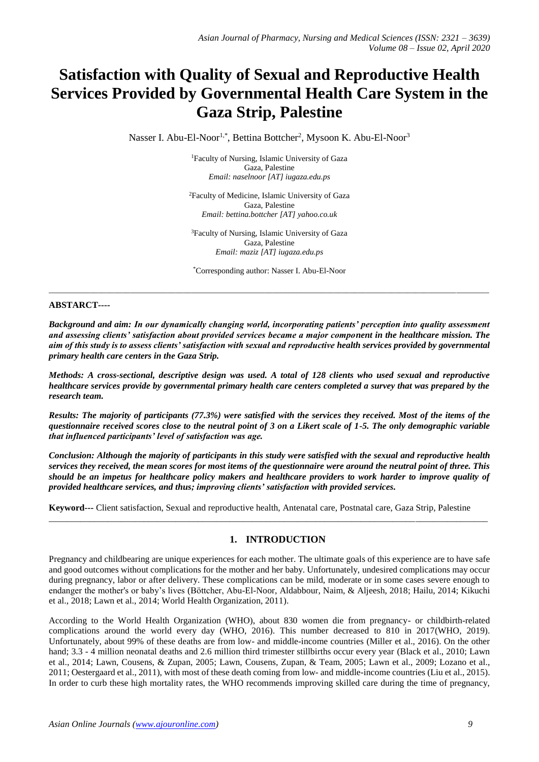# **Satisfaction with Quality of Sexual and Reproductive Health Services Provided by Governmental Health Care System in the Gaza Strip, Palestine**

Nasser I. Abu-El-Noor<sup>1,\*</sup>, Bettina Bottcher<sup>2</sup>, Mysoon K. Abu-El-Noor<sup>3</sup>

<sup>1</sup>Faculty of Nursing, Islamic University of Gaza Gaza, Palestine *Email: naselnoor [AT] iugaza.edu.ps*

<sup>2</sup>Faculty of Medicine, Islamic University of Gaza Gaza, Palestine *Email: bettina.bottcher [AT] yahoo.co.uk*

<sup>3</sup>Faculty of Nursing, Islamic University of Gaza Gaza, Palestine *Email: maziz [AT] iugaza.edu.ps*

\*Corresponding author: Nasser I. Abu-El-Noor

\_\_\_\_\_\_\_\_\_\_\_\_\_\_\_\_\_\_\_\_\_\_\_\_\_\_\_\_\_\_\_\_\_\_\_\_\_\_\_\_\_\_\_\_\_\_\_\_\_\_\_\_\_\_\_\_\_\_\_\_\_\_\_\_\_\_\_\_\_\_\_\_\_\_\_\_\_\_\_\_\_\_\_\_\_\_\_\_\_\_\_\_\_\_\_\_\_\_\_\_\_\_\_\_\_\_\_\_

#### **ABSTARCT***----*

*Background and aim: In our dynamically changing world, incorporating patients' perception into quality assessment and assessing clients' satisfaction about provided services became a major component in the healthcare mission. The aim of this study is to assess clients' satisfaction with sexual and reproductive health services provided by governmental primary health care centers in the Gaza Strip.*

*Methods: A cross-sectional, descriptive design was used. A total of 128 clients who used sexual and reproductive healthcare services provide by governmental primary health care centers completed a survey that was prepared by the research team.* 

*Results: The majority of participants (77.3%) were satisfied with the services they received. Most of the items of the questionnaire received scores close to the neutral point of 3 on a Likert scale of 1-5. The only demographic variable that influenced participants' level of satisfaction was age.* 

*Conclusion: Although the majority of participants in this study were satisfied with the sexual and reproductive health services they received, the mean scores for most items of the questionnaire were around the neutral point of three. This should be an impetus for healthcare policy makers and healthcare providers to work harder to improve quality of provided healthcare services, and thus; improving clients' satisfaction with provided services.* 

\_\_\_\_\_\_\_\_\_\_\_\_\_\_\_\_\_\_\_\_\_\_\_\_\_\_\_\_\_\_\_\_\_\_\_\_\_\_\_\_\_\_\_\_\_\_\_\_\_\_\_\_\_\_\_\_\_\_\_\_\_\_\_\_\_\_\_\_\_\_\_\_\_\_\_\_\_\_\_\_\_\_\_\_\_\_\_\_\_\_\_\_\_\_\_\_\_

**Keyword***---* Client satisfaction, Sexual and reproductive health, Antenatal care, Postnatal care, Gaza Strip, Palestine

# **1. INTRODUCTION**

Pregnancy and childbearing are unique experiences for each mother. The ultimate goals of this experience are to have safe and good outcomes without complications for the mother and her baby. Unfortunately, undesired complications may occur during pregnancy, labor or after delivery. These complications can be mild, moderate or in some cases severe enough to endanger the mother's or baby's lives (Böttcher, Abu-El-Noor, Aldabbour, Naim, & Aljeesh, 2018; [Hailu, 2014;](#page-7-0) Kikuchi [et al., 2018;](#page-7-1) [Lawn et al., 2014;](#page-7-2) [World Health Organization, 2011\)](#page-8-0).

According to the World Health Organization (WHO), about 830 women die from pregnancy- or childbirth-related complications around the world every day [\(WHO, 2016\)](#page-8-1). This number decreased to 810 in 2017[\(WHO, 2019\)](#page-8-2). Unfortunately, about 99% of these deaths are from low- and middle-income countries [\(Miller et al., 2016\)](#page-7-3). On the other hand; 3.3 - 4 million neonatal deaths and 2.6 million third trimester stillbirths occur every year [\(Black et al., 2010;](#page-6-1) Lawn [et al., 2014;](#page-7-2) [Lawn, Cousens, & Zupan, 2005;](#page-7-4) [Lawn, Cousens, Zupan, & Team, 2005;](#page-7-5) [Lawn et al., 2009;](#page-7-6) [Lozano et al.,](#page-7-7)  [2011;](#page-7-7) [Oestergaard et al., 2011\)](#page-8-3), with most of these death coming from low- and middle-income countries [\(Liu et al., 2015\)](#page-7-8). In order to curb these high mortality rates, the WHO recommends improving skilled care during the time of pregnancy,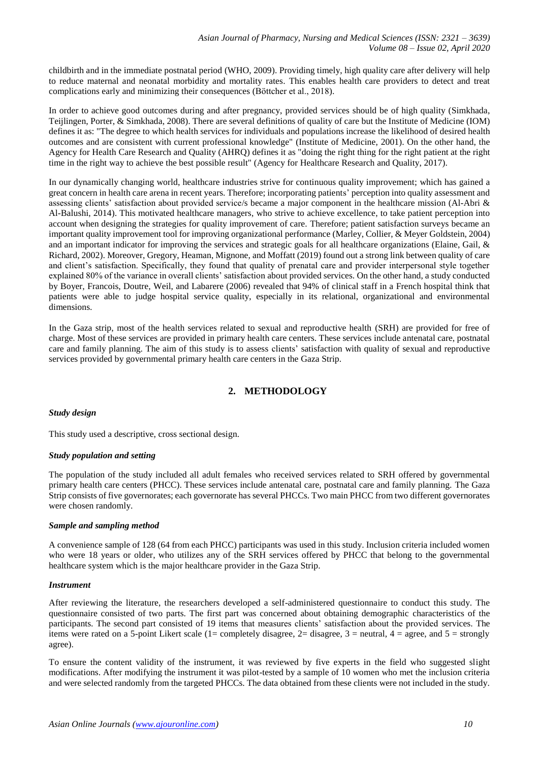childbirth and in the immediate postnatal period [\(WHO, 2009\)](#page-8-4). Providing timely, high quality care after delivery will help to reduce maternal and neonatal morbidity and mortality rates. This enables health care providers to detect and treat complications early and minimizing their consequences [\(Bӧttcher et al., 2018\)](#page-6-0).

In order to achieve good outcomes during and after pregnancy, provided services should be of high quality [\(Simkhada,](#page-8-5) [Teijlingen,](#page-8-5) Porter, & Simkhada, 2008). There are several definitions of quality of care but the Institute of Medicine (IOM) defines it as: "The degree to which health services for individuals and populations increase the likelihood of desired health outcomes and are consistent with current professional knowledge" (Institute of [Medicine,](#page-7-9) 2001). On the other hand, the Agency for Health Care Research and Quality (AHRQ) defines it as "doing the right thing for the right patient at the right time in the right way to achieve the best possible result" (Agency for [Healthcare](#page-6-2) Research and Quality, 2017).

In our dynamically changing world, healthcare industries strive for continuous quality improvement; which has gained a great concern in health care arena in recent years. Therefore; incorporating patients' perception into quality assessment and assessing clients' satisfaction about provided service/s became a major component in the healthcare mission [\(Al-Abri &](#page-6-3)  [Al-Balushi, 2014\)](#page-6-3). This motivated healthcare managers, who strive to achieve excellence, to take patient perception into account when designing the strategies for quality improvement of care. Therefore; patient satisfaction surveys became an important quality improvement tool for improving organizational performance [\(Marley, Collier, & Meyer Goldstein, 2004\)](#page-7-10) and an important indicator for improving the services and strategic goals for all healthcare organizations [\(Elaine, Gail, &](#page-6-4)  [Richard, 2002\)](#page-6-4). Moreover[, Gregory, Heaman, Mignone,](#page-6-5) and Moffatt (2019) found out a strong link between quality of care and client's satisfaction. Specifically, they found that quality of prenatal care and provider interpersonal style together explained 80% of the variance in overall clients' satisfaction about provided services. On the other hand, a study conducted by [Boyer, Francois, Doutre, Weil, and Labarere \(2006\)](#page-6-6) revealed that 94% of clinical staff in a French hospital think that patients were able to judge hospital service quality, especially in its relational, organizational and environmental dimensions.

In the Gaza strip, most of the health services related to sexual and reproductive health (SRH) are provided for free of charge. Most of these services are provided in primary health care centers. These services include antenatal care, postnatal care and family planning. The aim of this study is to assess clients' satisfaction with quality of sexual and reproductive services provided by governmental primary health care centers in the Gaza Strip.

# **2. METHODOLOGY**

# *Study design*

This study used a descriptive, cross sectional design.

# *Study population and setting*

The population of the study included all adult females who received services related to SRH offered by governmental primary health care centers (PHCC). These services include antenatal care, postnatal care and family planning. The Gaza Strip consists of five governorates; each governorate has several PHCCs. Two main PHCC from two different governorates were chosen randomly.

# *Sample and sampling method*

A convenience sample of 128 (64 from each PHCC) participants was used in this study. Inclusion criteria included women who were 18 years or older, who utilizes any of the SRH services offered by PHCC that belong to the governmental healthcare system which is the major healthcare provider in the Gaza Strip.

# *Instrument*

After reviewing the literature, the researchers developed a self-administered questionnaire to conduct this study. The questionnaire consisted of two parts. The first part was concerned about obtaining demographic characteristics of the participants. The second part consisted of 19 items that measures clients' satisfaction about the provided services. The items were rated on a 5-point Likert scale (1= completely disagree,  $2=$  disagree,  $3=$  neutral,  $4=$  agree, and  $5=$  strongly agree).

To ensure the content validity of the instrument, it was reviewed by five experts in the field who suggested slight modifications. After modifying the instrument it was pilot-tested by a sample of 10 women who met the inclusion criteria and were selected randomly from the targeted PHCCs. The data obtained from these clients were not included in the study.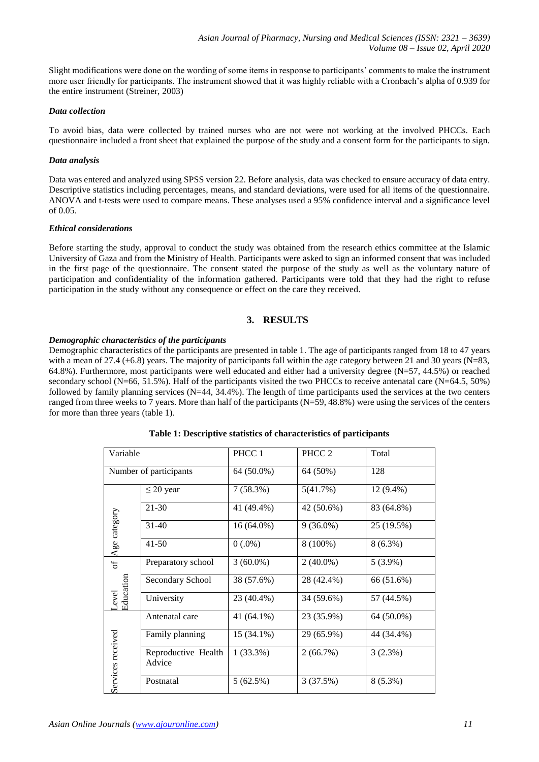Slight modifications were done on the wording of some items in response to participants' comments to make the instrument more user friendly for participants. The instrument showed that it was highly reliable with a Cronbach's alpha of 0.939 for the entire instrument [\(Streiner, 2003\)](#page-8-6)

# *Data collection*

To avoid bias, data were collected by trained nurses who are not were not working at the involved PHCCs. Each questionnaire included a front sheet that explained the purpose of the study and a consent form for the participants to sign.

# *Data analysis*

Data was entered and analyzed using SPSS version 22. Before analysis, data was checked to ensure accuracy of data entry. Descriptive statistics including percentages, means, and standard deviations, were used for all items of the questionnaire. ANOVA and t-tests were used to compare means. These analyses used a 95% confidence interval and a significance level of 0.05.

#### *Ethical considerations*

Before starting the study, approval to conduct the study was obtained from the research ethics committee at the Islamic University of Gaza and from the Ministry of Health. Participants were asked to sign an informed consent that was included in the first page of the questionnaire. The consent stated the purpose of the study as well as the voluntary nature of participation and confidentiality of the information gathered. Participants were told that they had the right to refuse participation in the study without any consequence or effect on the care they received.

# **3. RESULTS**

#### *Demographic characteristics of the participants*

Demographic characteristics of the participants are presented in table 1. The age of participants ranged from 18 to 47 years with a mean of 27.4 ( $\pm$ 6.8) years. The majority of participants fall within the age category between 21 and 30 years (N=83, 64.8%). Furthermore, most participants were well educated and either had a university degree (N=57, 44.5%) or reached secondary school (N=66, 51.5%). Half of the participants visited the two PHCCs to receive antenatal care (N=64.5, 50%) followed by family planning services  $(N=44, 34.4\%)$ . The length of time participants used the services at the two centers ranged from three weeks to 7 years. More than half of the participants  $(N=59, 48.8%)$  were using the services of the centers for more than three years (table 1).

| Variable                 |                               | PHCC 1       | PHCC <sub>2</sub> | Total      |  |
|--------------------------|-------------------------------|--------------|-------------------|------------|--|
| Number of participants   |                               | 64 (50.0%)   | 64 (50%)          | 128        |  |
| Age category             | $\leq$ 20 year                | 7(58.3%)     | 5(41.7%)          | 12 (9.4%)  |  |
|                          | 21-30                         | 41 (49.4%)   | 42 (50.6%)        | 83 (64.8%) |  |
|                          | $31 - 40$                     | $16(64.0\%)$ | $9(36.0\%)$       | 25 (19.5%) |  |
|                          | $41 - 50$                     | $0(.0\%)$    | 8 (100%)          | $8(6.3\%)$ |  |
| Ъp<br>Education<br>Level | Preparatory school            | $3(60.0\%)$  | $2(40.0\%)$       | $5(3.9\%)$ |  |
|                          | Secondary School              | 38 (57.6%)   | 28 (42.4%)        | 66 (51.6%) |  |
|                          | University                    | 23 (40.4%)   | 34 (59.6%)        | 57 (44.5%) |  |
| Services received        | Antenatal care                | 41 (64.1%)   | 23 (35.9%)        | 64 (50.0%) |  |
|                          | Family planning               | 15 (34.1%)   | 29 (65.9%)        | 44 (34.4%) |  |
|                          | Reproductive Health<br>Advice | $1(33.3\%)$  | 2(66.7%)          | 3(2.3%)    |  |
|                          | Postnatal                     | 5(62.5%)     | 3(37.5%)          | $8(5.3\%)$ |  |

# **Table 1: Descriptive statistics of characteristics of participants**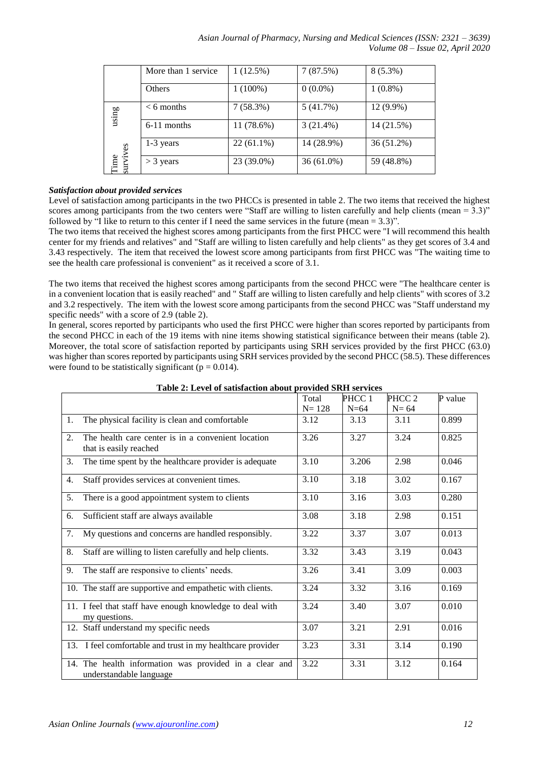|                  | More than 1 service | 1(12.5%)     | 7(87.5%)     | $8(5.3\%)$ |
|------------------|---------------------|--------------|--------------|------------|
|                  | <b>Others</b>       | $1(100\%)$   | $0(0.0\%)$   | $1(0.8\%)$ |
| using            | $< 6$ months        | 7(58.3%)     | 5(41.7%)     | 12 (9.9%)  |
|                  | $6-11$ months       | 11 (78.6%)   | $3(21.4\%)$  | 14 (21.5%) |
|                  | 1-3 years           | $22(61.1\%)$ | 14 (28.9%)   | 36 (51.2%) |
| survives<br>Time | $>$ 3 years         | 23 (39.0%)   | $36(61.0\%)$ | 59 (48.8%) |

# *Satisfaction about provided services*

Level of satisfaction among participants in the two PHCCs is presented in table 2. The two items that received the highest scores among participants from the two centers were "Staff are willing to listen carefully and help clients (mean  $= 3.3$ )" followed by "I like to return to this center if I need the same services in the future (mean = 3.3)".

The two items that received the highest scores among participants from the first PHCC were "I will recommend this health center for my friends and relatives" and "Staff are willing to listen carefully and help clients" as they get scores of 3.4 and 3.43 respectively. The item that received the lowest score among participants from first PHCC was "The waiting time to see the health care professional is convenient" as it received a score of 3.1.

The two items that received the highest scores among participants from the second PHCC were "The healthcare center is in a convenient location that is easily reached" and " Staff are willing to listen carefully and help clients" with scores of 3.2 and 3.2 respectively. The item with the lowest score among participants from the second PHCC was "Staff understand my specific needs" with a score of 2.9 (table 2).

In general, scores reported by participants who used the first PHCC were higher than scores reported by participants from the second PHCC in each of the 19 items with nine items showing statistical significance between their means (table 2). Moreover, the total score of satisfaction reported by participants using SRH services provided by the first PHCC (63.0) was higher than scores reported by participants using SRH services provided by the second PHCC (58.5). These differences were found to be statistically significant ( $p = 0.014$ ).

|    |                                                                                   | Total     | PHCC 1 | PHCC <sub>2</sub> | P value |
|----|-----------------------------------------------------------------------------------|-----------|--------|-------------------|---------|
|    |                                                                                   | $N = 128$ | $N=64$ | $N=64$            |         |
| 1. | The physical facility is clean and comfortable                                    | 3.12      | 3.13   | 3.11              | 0.899   |
| 2. | The health care center is in a convenient location<br>that is easily reached      | 3.26      | 3.27   | 3.24              | 0.825   |
| 3. | The time spent by the healthcare provider is adequate                             | 3.10      | 3.206  | 2.98              | 0.046   |
| 4. | Staff provides services at convenient times.                                      | 3.10      | 3.18   | 3.02              | 0.167   |
| 5. | There is a good appointment system to clients                                     | 3.10      | 3.16   | 3.03              | 0.280   |
| 6. | Sufficient staff are always available                                             | 3.08      | 3.18   | 2.98              | 0.151   |
| 7. | My questions and concerns are handled responsibly.                                | 3.22      | 3.37   | 3.07              | 0.013   |
| 8. | Staff are willing to listen carefully and help clients.                           | 3.32      | 3.43   | 3.19              | 0.043   |
| 9. | The staff are responsive to clients' needs.                                       | 3.26      | 3.41   | 3.09              | 0.003   |
|    | 10. The staff are supportive and empathetic with clients.                         | 3.24      | 3.32   | 3.16              | 0.169   |
|    | 11. I feel that staff have enough knowledge to deal with<br>my questions.         | 3.24      | 3.40   | 3.07              | 0.010   |
|    | 12. Staff understand my specific needs                                            | 3.07      | 3.21   | 2.91              | 0.016   |
|    | 13. I feel comfortable and trust in my healthcare provider                        | 3.23      | 3.31   | 3.14              | 0.190   |
|    | 14. The health information was provided in a clear and<br>understandable language | 3.22      | 3.31   | 3.12              | 0.164   |

# **Table 2: Level of satisfaction about provided SRH services**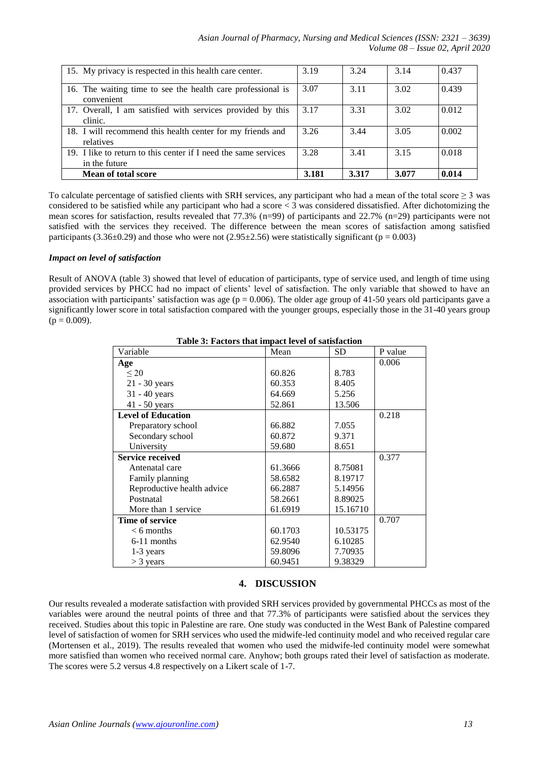| 15. My privacy is respected in this health care center.                          | 3.19  | 3.24  | 3.14  | 0.437 |
|----------------------------------------------------------------------------------|-------|-------|-------|-------|
| 16. The waiting time to see the health care professional is<br>convenient        | 3.07  | 3.11  | 3.02  | 0.439 |
| 17. Overall, I am satisfied with services provided by this<br>clinic.            | 3.17  | 3.31  | 3.02  | 0.012 |
| 18. I will recommend this health center for my friends and<br>relatives          | 3.26  | 3.44  | 3.05  | 0.002 |
| 19. I like to return to this center if I need the same services<br>in the future | 3.28  | 3.41  | 3.15  | 0.018 |
| <b>Mean of total score</b>                                                       | 3.181 | 3.317 | 3.077 | 0.014 |

To calculate percentage of satisfied clients with SRH services, any participant who had a mean of the total score  $\geq 3$  was considered to be satisfied while any participant who had a score  $\lt 3$  was considered dissatisfied. After dichotomizing the mean scores for satisfaction, results revealed that 77.3% (n=99) of participants and 22.7% (n=29) participants were not satisfied with the services they received. The difference between the mean scores of satisfaction among satisfied participants (3.36 $\pm$ 0.29) and those who were not (2.95 $\pm$ 2.56) were statistically significant (p = 0.003)

# *Impact on level of satisfaction*

Result of ANOVA (table 3) showed that level of education of participants, type of service used, and length of time using provided services by PHCC had no impact of clients' level of satisfaction. The only variable that showed to have an association with participants' satisfaction was age ( $p = 0.006$ ). The older age group of 41-50 years old participants gave a significantly lower score in total satisfaction compared with the younger groups, especially those in the 31-40 years group  $(p = 0.009)$ .

| <i>upic 0, 1 uctors thut mi</i><br>Variable | pace it is of batheretion<br>Mean | <b>SD</b> | P value |
|---------------------------------------------|-----------------------------------|-----------|---------|
| Age                                         |                                   |           | 0.006   |
| $\leq$ 20                                   | 60.826                            | 8.783     |         |
| $21 - 30$ years                             | 60.353                            | 8.405     |         |
| $31 - 40$ years                             | 64.669                            | 5.256     |         |
| $41 - 50$ years                             | 52.861                            | 13.506    |         |
| <b>Level of Education</b>                   |                                   |           | 0.218   |
| Preparatory school                          | 66.882                            | 7.055     |         |
| Secondary school                            | 60.872                            | 9.371     |         |
| University                                  | 59.680                            | 8.651     |         |
| <b>Service received</b>                     |                                   |           | 0.377   |
| Antenatal care                              | 61.3666                           | 8.75081   |         |
| Family planning                             | 58.6582                           | 8.19717   |         |
| Reproductive health advice                  | 66.2887                           | 5.14956   |         |
| Postnatal                                   | 58.2661                           | 8.89025   |         |
| More than 1 service                         | 61.6919                           | 15.16710  |         |
| Time of service                             |                                   |           | 0.707   |
| $< 6$ months                                | 60.1703                           | 10.53175  |         |
| $6-11$ months                               | 62.9540                           | 6.10285   |         |
| $1-3$ years                                 | 59.8096                           | 7.70935   |         |
| $>$ 3 years                                 | 60.9451                           | 9.38329   |         |

**Table 3: Factors that impact level of satisfaction**

# **4. DISCUSSION**

Our results revealed a moderate satisfaction with provided SRH services provided by governmental PHCCs as most of the variables were around the neutral points of three and that 77.3% of participants were satisfied about the services they received. Studies about this topic in Palestine are rare. One study was conducted in the West Bank of Palestine compared level of satisfaction of women for SRH services who used the midwife-led continuity model and who received regular care [\(Mortensen et al., 2019\)](#page-7-11). The results revealed that women who used the midwife-led continuity model were somewhat more satisfied than women who received normal care. Anyhow; both groups rated their level of satisfaction as moderate. The scores were 5.2 versus 4.8 respectively on a Likert scale of 1-7.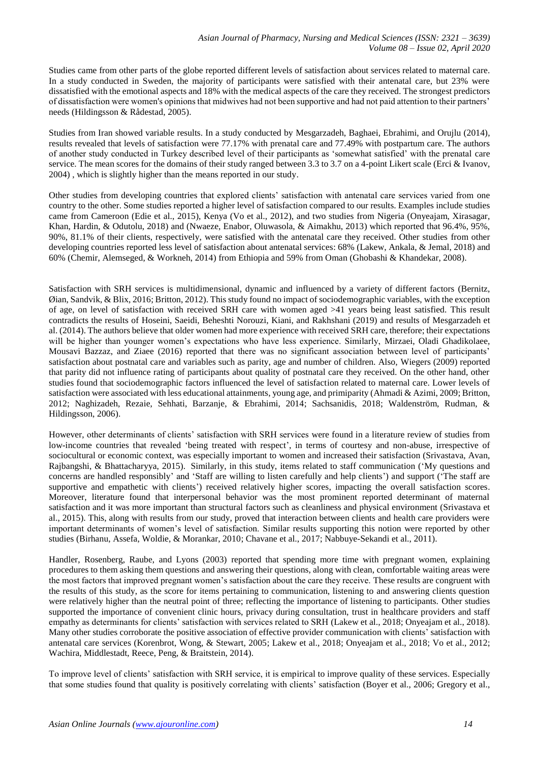Studies came from other parts of the globe reported different levels of satisfaction about services related to maternal care. In a study conducted in Sweden, the majority of participants were satisfied with their antenatal care, but 23% were dissatisfied with the emotional aspects and 18% with the medical aspects of the care they received. The strongest predictors of dissatisfaction were women's opinions that midwives had not been supportive and had not paid attention to their partners' needs [\(Hildingsson & Rådestad, 2005\)](#page-7-12).

Studies from Iran showed variable results. In a study conducted by [Mesgarzadeh, Baghaei, Ebrahimi, and](#page-7-13) Orujlu (2014), results revealed that levels of satisfaction were 77.17% with prenatal care and 77.49% with postpartum care. The authors of another study conducted in Turkey described level of their participants as 'somewhat satisfied' with the prenatal care service. The mean scores for the domains of their study ranged between 3.3 to 3.7 on a 4-point Likert scale [\(Erci & Ivanov,](#page-6-7)  [2004\)](#page-6-7) , which is slightly higher than the means reported in our study.

Other studies from developing countries that explored clients' satisfaction with antenatal care services varied from one country to the other. Some studies reported a higher level of satisfaction compared to our results. Examples include studies came from Cameroon [\(Edie et al., 2015\)](#page-6-8), Kenya [\(Vo et al., 2012\)](#page-8-7), and two studies from Nigeria [\(Onyeajam, Xirasagar,](#page-8-8)  [Khan, Hardin, & Odutolu, 2018\)](#page-8-8) and [\(Nwaeze, Enabor, Oluwasola, & Aimakhu, 2013\)](#page-7-14) which reported that 96.4%, 95%, 90%, 81.1% of their clients, respectively, were satisfied with the antenatal care they received. Other studies from other developing countries reported less level of satisfaction about antenatal services: 68% [\(Lakew, Ankala, & Jemal, 2018\)](#page-7-15) and 60% [\(Chemir, Alemseged, & Workneh, 2014\)](#page-6-9) from Ethiopia and 59% from Oman [\(Ghobashi & Khandekar, 2008\)](#page-6-10).

Satisfaction with SRH services is multidimensional, dynamic and influenced by a variety of different factors [\(Bernitz,](#page-6-11)  [Øian, Sandvik, & Blix, 2016;](#page-6-11) [Britton, 2012\)](#page-6-12). This study found no impact of sociodemographic variables, with the exception of age, on level of satisfaction with received SRH care with women aged >41 years being least satisfied. This result contradicts the results of [Hoseini, Saeidi, Beheshti Norouzi, Kiani, and Rakhshani \(2019\)](#page-7-16) and results of [Mesgarzadeh et](#page-7-13)  al. (2014). The authors believe that older women had more experience with received SRH care, therefore; their expectations will be higher than younger women's expectations who have less experience. Similarly, Mirzaei, Oladi Ghadikolaee, Mousavi Bazzaz, and Ziaee (2016) reported that there was no significant association between level of participants' satisfaction about postnatal care and variables such as parity, age and number of children. Also, [Wiegers \(2009\)](#page-8-9) reported that parity did not influence rating of participants about quality of postnatal care they received. On the other hand, other studies found that sociodemographic factors influenced the level of satisfaction related to maternal care. Lower levels of satisfaction were associated with less educational attainments, young age, and primiparity [\(Ahmadi & Azimi, 2009;](#page-6-13) [Britton,](#page-6-12)  [2012;](#page-6-12) [Naghizadeh, Rezaie, Sehhati, Barzanje, & Ebrahimi, 2014;](#page-7-18) [Sachsanidis, 2018;](#page-8-10) [Waldenström, Rudman, &](#page-8-11)  [Hildingsson, 2006\)](#page-8-11).

However, other determinants of clients' satisfaction with SRH services were found in a literature review of studies from low-income countries that revealed 'being treated with respect', in terms of courtesy and non-abuse, irrespective of sociocultural or economic context, was especially important to women and increased their satisfaction [\(Srivastava, Avan,](#page-8-12)  [Rajbangshi, & Bhattacharyya, 2015\)](#page-8-12). Similarly, in this study, items related to staff communication ('My questions and concerns are handled responsibly' and 'Staff are willing to listen carefully and help clients') and support ('The staff are supportive and empathetic with clients') received relatively higher scores, impacting the overall satisfaction scores. Moreover, literature found that interpersonal behavior was the most prominent reported determinant of maternal satisfaction and it was more important than structural factors such as cleanliness and physical environment [\(Srivastava et](#page-8-12)  [al., 2015\)](#page-8-12). This, along with results from our study, proved that interaction between clients and health care providers were important determinants of women's level of satisfaction. Similar results supporting this notion were reported by other studies [\(Birhanu, Assefa, Woldie, & Morankar, 2010;](#page-6-14) [Chavane et al., 2017;](#page-6-15) [Nabbuye-Sekandi et al., 2011\)](#page-7-19).

[Handler, Rosenberg, Raube, and Lyons \(2003\)](#page-7-20) reported that spending more time with pregnant women, explaining procedures to them asking them questions and answering their questions, along with clean, comfortable waiting areas were the most factors that improved pregnant women's satisfaction about the care they receive. These results are congruent with the results of this study, as the score for items pertaining to communication, listening to and answering clients question were relatively higher than the neutral point of three; reflecting the importance of listening to participants. Other studies supported the importance of convenient clinic hours, privacy during consultation, trust in healthcare providers and staff empathy as determinants for clients' satisfaction with services related to SRH [\(Lakew et al., 2018;](#page-7-15) [Onyeajam et al., 2018\)](#page-8-8). Many other studies corroborate the positive association of effective provider communication with clients' satisfaction with antenatal care services [\(Korenbrot, Wong, & Stewart, 2005;](#page-7-21) [Lakew et al., 2018;](#page-7-15) [Onyeajam et al., 2018;](#page-8-8) [Vo et al., 2012;](#page-8-7) [Wachira, Middlestadt, Reece, Peng, & Braitstein, 2014\)](#page-8-13).

To improve level of clients' satisfaction with SRH service, it is empirical to improve quality of these services. Especially that some studies found that quality is positively correlating with clients' satisfaction [\(Boyer et al., 2006;](#page-6-6) [Gregory et al.,](#page-6-5)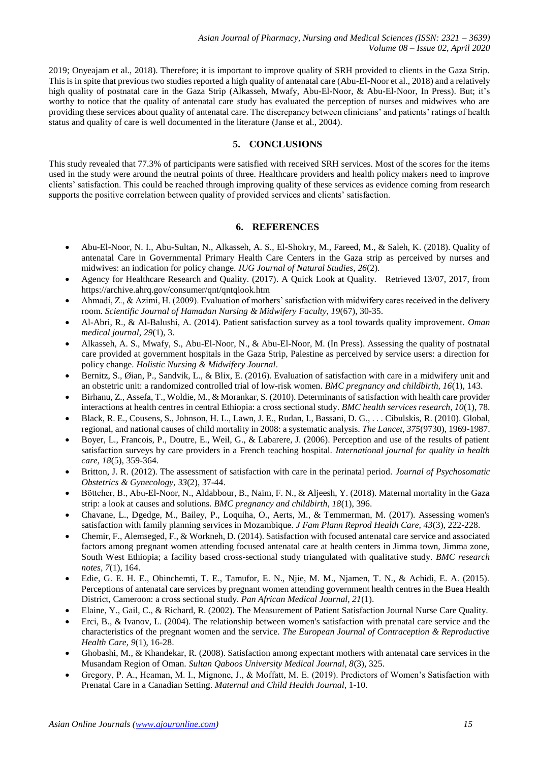[2019;](#page-6-5) [Onyeajam et al., 2018\)](#page-8-8). Therefore; it is important to improve quality of SRH provided to clients in the Gaza Strip. This is in spite that previous two studies reported a high quality of antenatal care [\(Abu-El-Noor et al., 2018\)](#page-6-16) and a relatively high quality of postnatal care in the Gaza Strip [\(Alkasseh, Mwafy, Abu-El-Noor, & Abu-El-Noor, In Press\)](#page-6-17). But; it's worthy to notice that the quality of antenatal care study has evaluated the perception of nurses and midwives who are providing these services about quality of antenatal care. The discrepancy between clinicians' and patients' ratings of health status and quality of care is well documented in the literature [\(Janse et al., 2004\)](#page-7-22).

# **5. CONCLUSIONS**

This study revealed that 77.3% of participants were satisfied with received SRH services. Most of the scores for the items used in the study were around the neutral points of three. Healthcare providers and health policy makers need to improve clients' satisfaction. This could be reached through improving quality of these services as evidence coming from research supports the positive correlation between quality of provided services and clients' satisfaction.

# **6. REFERENCES**

- <span id="page-6-16"></span> Abu-El-Noor, N. I., Abu-Sultan, N., Alkasseh, A. S., El-Shokry, M., Fareed, M., & Saleh, K. (2018). Quality of antenatal Care in Governmental Primary Health Care Centers in the Gaza strip as perceived by nurses and midwives: an indication for policy change. *IUG Journal of Natural Studies, 26*(2).
- <span id="page-6-2"></span> Agency for Healthcare Research and Quality. (2017). A Quick Look at Quality. Retrieved 13/07, 2017, from https://archive.ahrq.gov/consumer/qnt/qntqlook.htm
- <span id="page-6-13"></span> Ahmadi, Z., & Azimi, H. (2009). Evaluation of mothers' satisfaction with midwifery cares received in the delivery room. *Scientific Journal of Hamadan Nursing & Midwifery Faculty, 19*(67), 30-35.
- <span id="page-6-3"></span> Al-Abri, R., & Al-Balushi, A. (2014). Patient satisfaction survey as a tool towards quality improvement. *Oman medical journal, 29*(1), 3.
- <span id="page-6-17"></span> Alkasseh, A. S., Mwafy, S., Abu-El-Noor, N., & Abu-El-Noor, M. (In Press). Assessing the quality of postnatal care provided at government hospitals in the Gaza Strip, Palestine as perceived by service users: a direction for policy change. *Holistic Nursing & Midwifery Journal*.
- <span id="page-6-11"></span> Bernitz, S., Øian, P., Sandvik, L., & Blix, E. (2016). Evaluation of satisfaction with care in a midwifery unit and an obstetric unit: a randomized controlled trial of low-risk women. *BMC pregnancy and childbirth, 16*(1), 143.
- <span id="page-6-14"></span> Birhanu, Z., Assefa, T., Woldie, M., & Morankar, S. (2010). Determinants of satisfaction with health care provider interactions at health centres in central Ethiopia: a cross sectional study. *BMC health services research, 10*(1), 78.
- <span id="page-6-1"></span> Black, R. E., Cousens, S., Johnson, H. L., Lawn, J. E., Rudan, I., Bassani, D. G., . . . Cibulskis, R. (2010). Global, regional, and national causes of child mortality in 2008: a systematic analysis. *The Lancet, 375*(9730), 1969-1987.
- <span id="page-6-6"></span> Boyer, L., Francois, P., Doutre, E., Weil, G., & Labarere, J. (2006). Perception and use of the results of patient satisfaction surveys by care providers in a French teaching hospital. *International journal for quality in health care, 18*(5), 359-364.
- <span id="page-6-12"></span> Britton, J. R. (2012). The assessment of satisfaction with care in the perinatal period. *Journal of Psychosomatic Obstetrics & Gynecology, 33*(2), 37-44.
- <span id="page-6-0"></span>Böttcher, B., Abu-El-Noor, N., Aldabbour, B., Naim, F. N., & Aljeesh, Y. (2018). Maternal mortality in the Gaza strip: a look at causes and solutions. *BMC pregnancy and childbirth, 18*(1), 396.
- <span id="page-6-15"></span> Chavane, L., Dgedge, M., Bailey, P., Loquiha, O., Aerts, M., & Temmerman, M. (2017). Assessing women's satisfaction with family planning services in Mozambique. *J Fam Plann Reprod Health Care, 43*(3), 222-228.
- <span id="page-6-9"></span> Chemir, F., Alemseged, F., & Workneh, D. (2014). Satisfaction with focused antenatal care service and associated factors among pregnant women attending focused antenatal care at health centers in Jimma town, Jimma zone, South West Ethiopia; a facility based cross-sectional study triangulated with qualitative study. *BMC research notes, 7*(1), 164.
- <span id="page-6-8"></span> Edie, G. E. H. E., Obinchemti, T. E., Tamufor, E. N., Njie, M. M., Njamen, T. N., & Achidi, E. A. (2015). Perceptions of antenatal care services by pregnant women attending government health centres in the Buea Health District, Cameroon: a cross sectional study. *Pan African Medical Journal, 21*(1).
- <span id="page-6-4"></span>Elaine, Y., Gail, C., & Richard, R. (2002). The Measurement of Patient Satisfaction Journal Nurse Care Quality.
- <span id="page-6-7"></span> Erci, B., & Ivanov, L. (2004). The relationship between women's satisfaction with prenatal care service and the characteristics of the pregnant women and the service. *The European Journal of Contraception & Reproductive Health Care, 9*(1), 16-28.
- <span id="page-6-10"></span> Ghobashi, M., & Khandekar, R. (2008). Satisfaction among expectant mothers with antenatal care services in the Musandam Region of Oman. *Sultan Qaboos University Medical Journal, 8*(3), 325.
- <span id="page-6-5"></span> Gregory, P. A., Heaman, M. I., Mignone, J., & Moffatt, M. E. (2019). Predictors of Women's Satisfaction with Prenatal Care in a Canadian Setting. *Maternal and Child Health Journal*, 1-10.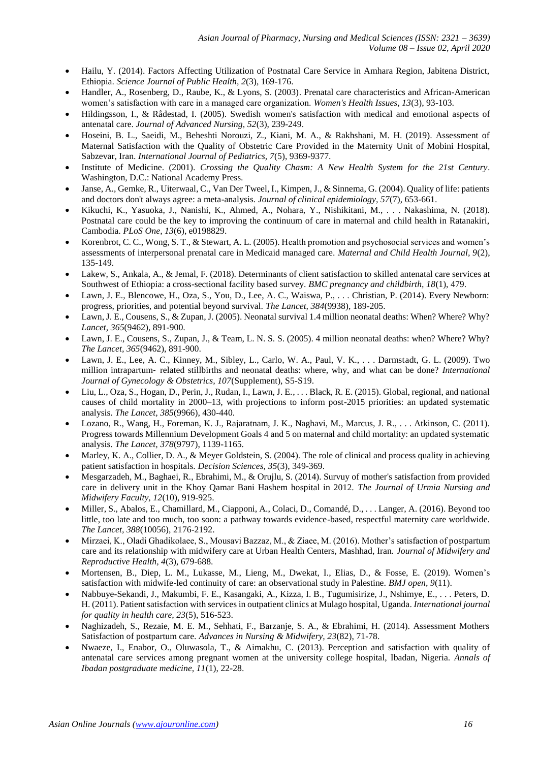- <span id="page-7-0"></span> Hailu, Y. (2014). Factors Affecting Utilization of Postnatal Care Service in Amhara Region, Jabitena District, Ethiopia. *Science Journal of Public Health, 2*(3), 169-176.
- <span id="page-7-20"></span> Handler, A., Rosenberg, D., Raube, K., & Lyons, S. (2003). Prenatal care characteristics and African-American women's satisfaction with care in a managed care organization. *Women's Health Issues, 13*(3), 93-103.
- <span id="page-7-12"></span> Hildingsson, I., & Rådestad, I. (2005). Swedish women's satisfaction with medical and emotional aspects of antenatal care. *Journal of Advanced Nursing, 52*(3), 239-249.
- <span id="page-7-16"></span> Hoseini, B. L., Saeidi, M., Beheshti Norouzi, Z., Kiani, M. A., & Rakhshani, M. H. (2019). Assessment of Maternal Satisfaction with the Quality of Obstetric Care Provided in the Maternity Unit of Mobini Hospital, Sabzevar, Iran. *International Journal of Pediatrics, 7*(5), 9369-9377.
- <span id="page-7-9"></span> Institute of Medicine. (2001). *Crossing the Quality Chasm: A New Health System for the 21st Century*. Washington, D.C.: National Academy Press.
- <span id="page-7-22"></span> Janse, A., Gemke, R., Uiterwaal, C., Van Der Tweel, I., Kimpen, J., & Sinnema, G. (2004). Quality of life: patients and doctors don't always agree: a meta-analysis. *Journal of clinical epidemiology, 57*(7), 653-661.
- <span id="page-7-1"></span> Kikuchi, K., Yasuoka, J., Nanishi, K., Ahmed, A., Nohara, Y., Nishikitani, M., . . . Nakashima, N. (2018). Postnatal care could be the key to improving the continuum of care in maternal and child health in Ratanakiri, Cambodia. *PLoS One, 13*(6), e0198829.
- <span id="page-7-21"></span> Korenbrot, C. C., Wong, S. T., & Stewart, A. L. (2005). Health promotion and psychosocial services and women's assessments of interpersonal prenatal care in Medicaid managed care. *Maternal and Child Health Journal, 9*(2), 135-149.
- <span id="page-7-15"></span> Lakew, S., Ankala, A., & Jemal, F. (2018). Determinants of client satisfaction to skilled antenatal care services at Southwest of Ethiopia: a cross-sectional facility based survey. *BMC pregnancy and childbirth, 18*(1), 479.
- <span id="page-7-2"></span> Lawn, J. E., Blencowe, H., Oza, S., You, D., Lee, A. C., Waiswa, P., . . . Christian, P. (2014). Every Newborn: progress, priorities, and potential beyond survival. *The Lancet, 384*(9938), 189-205.
- <span id="page-7-4"></span> Lawn, J. E., Cousens, S., & Zupan, J. (2005). Neonatal survival 1.4 million neonatal deaths: When? Where? Why? *Lancet, 365*(9462), 891-900.
- <span id="page-7-5"></span> Lawn, J. E., Cousens, S., Zupan, J., & Team, L. N. S. S. (2005). 4 million neonatal deaths: when? Where? Why? *The Lancet, 365*(9462), 891-900.
- <span id="page-7-6"></span> Lawn, J. E., Lee, A. C., Kinney, M., Sibley, L., Carlo, W. A., Paul, V. K., . . . Darmstadt, G. L. (2009). Two million intrapartum‐ related stillbirths and neonatal deaths: where, why, and what can be done? *International Journal of Gynecology & Obstetrics, 107*(Supplement), S5-S19.
- <span id="page-7-8"></span> Liu, L., Oza, S., Hogan, D., Perin, J., Rudan, I., Lawn, J. E., . . . Black, R. E. (2015). Global, regional, and national causes of child mortality in 2000–13, with projections to inform post-2015 priorities: an updated systematic analysis. *The Lancet, 385*(9966), 430-440.
- <span id="page-7-7"></span> Lozano, R., Wang, H., Foreman, K. J., Rajaratnam, J. K., Naghavi, M., Marcus, J. R., . . . Atkinson, C. (2011). Progress towards Millennium Development Goals 4 and 5 on maternal and child mortality: an updated systematic analysis. *The Lancet, 378*(9797), 1139-1165.
- <span id="page-7-10"></span> Marley, K. A., Collier, D. A., & Meyer Goldstein, S. (2004). The role of clinical and process quality in achieving patient satisfaction in hospitals. *Decision Sciences, 35*(3), 349-369.
- <span id="page-7-13"></span> Mesgarzadeh, M., Baghaei, R., Ebrahimi, M., & Orujlu, S. (2014). Survuy of mother's satisfaction from provided care in delivery unit in the Khoy Qamar Bani Hashem hospital in 2012. *The Journal of Urmia Nursing and Midwifery Faculty, 12*(10), 919-925.
- <span id="page-7-3"></span> Miller, S., Abalos, E., Chamillard, M., Ciapponi, A., Colaci, D., Comandé, D., . . . Langer, A. (2016). Beyond too little, too late and too much, too soon: a pathway towards evidence-based, respectful maternity care worldwide. *The Lancet, 388*(10056), 2176-2192.
- <span id="page-7-17"></span> Mirzaei, K., Oladi Ghadikolaee, S., Mousavi Bazzaz, M., & Ziaee, M. (2016). Mother's satisfaction of postpartum care and its relationship with midwifery care at Urban Health Centers, Mashhad, Iran. *Journal of Midwifery and Reproductive Health, 4*(3), 679-688.
- <span id="page-7-11"></span> Mortensen, B., Diep, L. M., Lukasse, M., Lieng, M., Dwekat, I., Elias, D., & Fosse, E. (2019). Women's satisfaction with midwife-led continuity of care: an observational study in Palestine. *BMJ open, 9*(11).
- <span id="page-7-19"></span> Nabbuye-Sekandi, J., Makumbi, F. E., Kasangaki, A., Kizza, I. B., Tugumisirize, J., Nshimye, E., . . . Peters, D. H. (2011). Patient satisfaction with services in outpatient clinics at Mulago hospital, Uganda. *International journal for quality in health care, 23*(5), 516-523.
- <span id="page-7-18"></span> Naghizadeh, S., Rezaie, M. E. M., Sehhati, F., Barzanje, S. A., & Ebrahimi, H. (2014). Assessment Mothers Satisfaction of postpartum care. *Advances in Nursing & Midwifery, 23*(82), 71-78.
- <span id="page-7-14"></span> Nwaeze, I., Enabor, O., Oluwasola, T., & Aimakhu, C. (2013). Perception and satisfaction with quality of antenatal care services among pregnant women at the university college hospital, Ibadan, Nigeria. *Annals of Ibadan postgraduate medicine, 11*(1), 22-28.